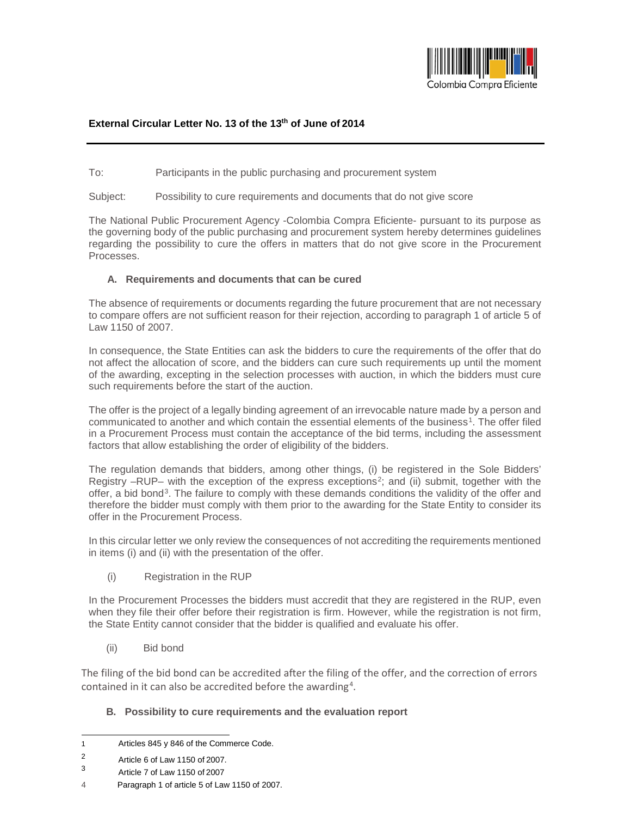

## **External Circular Letter No. 13 of the 13th of June of 2014**

To: Participants in the public purchasing and procurement system

Subject: Possibility to cure requirements and documents that do not give score

The National Public Procurement Agency -Colombia Compra Eficiente- pursuant to its purpose as the governing body of the public purchasing and procurement system hereby determines guidelines regarding the possibility to cure the offers in matters that do not give score in the Procurement Processes.

## **A. Requirements and documents that can be cured**

The absence of requirements or documents regarding the future procurement that are not necessary to compare offers are not sufficient reason for their rejection, according to paragraph 1 of article 5 of Law 1150 of 2007.

In consequence, the State Entities can ask the bidders to cure the requirements of the offer that do not affect the allocation of score, and the bidders can cure such requirements up until the moment of the awarding, excepting in the selection processes with auction, in which the bidders must cure such requirements before the start of the auction.

The offer is the project of a legally binding agreement of an irrevocable nature made by a person and communicated to another and which contain the essential elements of the business<sup>1</sup>. The offer filed in a Procurement Process must contain the acceptance of the bid terms, including the assessment factors that allow establishing the order of eligibility of the bidders.

The regulation demands that bidders, among other things, (i) be registered in the Sole Bidders' Registry  $-RUP-$  with the exception of the express exceptions<sup>[2](#page-0-1)</sup>; and (ii) submit, together with the offer, a bid bond<sup>[3](#page-0-2)</sup>. The failure to comply with these demands conditions the validity of the offer and therefore the bidder must comply with them prior to the awarding for the State Entity to consider its offer in the Procurement Process.

In this circular letter we only review the consequences of not accrediting the requirements mentioned in items (i) and (ii) with the presentation of the offer.

(i) Registration in the RUP

In the Procurement Processes the bidders must accredit that they are registered in the RUP, even when they file their offer before their registration is firm. However, while the registration is not firm, the State Entity cannot consider that the bidder is qualified and evaluate his offer.

(ii) Bid bond

The filing of the bid bond can be accredited after the filing of the offer, and the correction of errors contained in it can also be accredited before the awarding<sup>[4](#page-0-3)</sup>.

## **B. Possibility to cure requirements and the evaluation report**

<span id="page-0-0"></span> $\mathbf{1}$ Articles 845 y 846 of the Commerce Code.

<span id="page-0-2"></span><span id="page-0-1"></span> $\frac{2}{3}$  Article 6 of Law 1150 of 2007.

<sup>3</sup> Article 7 of Law 1150 of 2007

<span id="page-0-3"></span><sup>4</sup> Paragraph 1 of article 5 of Law 1150 of 2007.